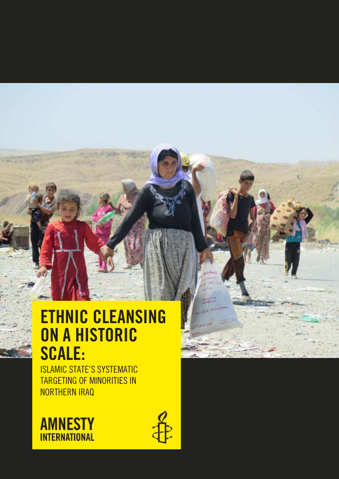# **ETHNIC CLEANSING ON A HISTORIC SCALE:**

ISLAMIC STATE'S SYSTEMATIC TARGETING OF MINORITIES IN NORTHERN IRAQ



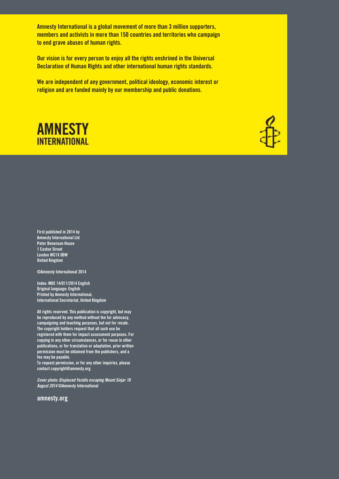**Amnesty International is a global movement of more than 3 million supporters, members and activists in more than 150 countries and territories who campaign to end grave abuses of human rights.**

**Our vision is for every person to enjoy all the rights enshrined in the Universal Declaration of Human Rights and other international human rights standards.**

**We are independent of any government, political ideology, economic interest or religion and are funded mainly by our membership and public donations.**





**First published in 2014 by Amnesty International Ltd Peter Benenson House 1 Easton Street London WC1X 0DW United Kingdom**

**©Amnesty International 2014**

**Index: MDE 14/011/2014 English Original language: English Printed by Amnesty International, International Secretariat, United Kingdom**

**All rights reserved. This publication is copyright, but may be reproduced by any method without fee for advocacy, campaigning and teaching purposes, but not for resale. The copyright holders request that all such use be registered with them for impact assessment purposes. For copying in any other circumstances, or for reuse in other publications, or for translation or adaptation, prior written permission must be obtained from the publishers, and a fee may be payable.**

**To request permission, or for any other inquiries, please contact copyright@amnesty.org**

*Cover photo: Displaced Yezidis escaping Mount Sinjar 10 August 2014* **©Amnesty International**

**amnesty.org**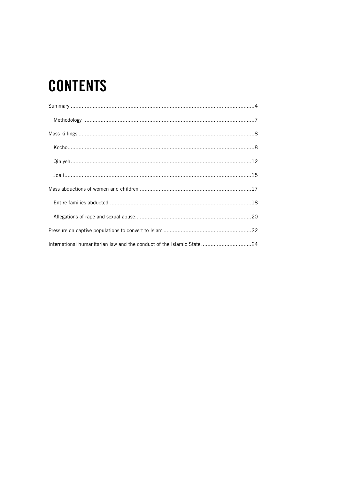## **CONTENTS**

| International humanitarian law and the conduct of the Islamic State24 |  |
|-----------------------------------------------------------------------|--|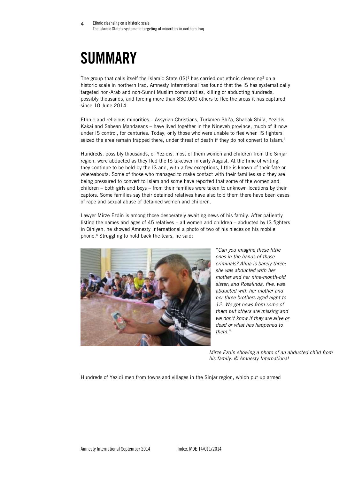# <span id="page-3-0"></span>**SUMMARY**

The group that calls itself the Islamic State  $(IS)^1$  has carried out ethnic cleansing<sup>2</sup> on a historic scale in northern Iraq. Amnesty International has found that the IS has systematically targeted non-Arab and non-Sunni Muslim communities, killing or abducting hundreds, possibly thousands, and forcing more than 830,000 others to flee the areas it has captured since 10 June 2014.

Ethnic and religious minorities – Assyrian Christians, Turkmen Shi'a, Shabak Shi'a, Yezidis, Kakai and Sabean Mandaeans – have lived together in the Nineveh province, much of it now under IS control, for centuries. Today, only those who were unable to flee when IS fighters seized the area remain trapped there, under threat of death if they do not convert to Islam.<sup>3</sup>

Hundreds, possibly thousands, of Yezidis, most of them women and children from the Sinjar region, were abducted as they fled the IS takeover in early August. At the time of writing, they continue to be held by the IS and, with a few exceptions, little is known of their fate or whereabouts. Some of those who managed to make contact with their families said they are being pressured to convert to Islam and some have reported that some of the women and children – both girls and boys – from their families were taken to unknown locations by their captors. Some families say their detained relatives have also told them there have been cases of rape and sexual abuse of detained women and children.

Lawyer Mirze Ezdin is among those desperately awaiting news of his family. After patiently listing the names and ages of 45 relatives – all women and children – abducted by IS fighters in Qiniyeh, he showed Amnesty International a photo of two of his nieces on his mobile phone.<sup>4</sup> Struggling to hold back the tears, he said:



"*Can you imagine these little ones in the hands of those criminals? Alina is barely three; she was abducted with her mother and her nine-month-old sister; and Rosalinda, five, was abducted with her mother and her three brothers aged eight to 12. We get news from some of them but others are missing and we don't know if they are alive or dead or what has happened to them.*"

*Mirze Ezdin showing a photo of an abducted child from his family. © Amnesty International*

Hundreds of Yezidi men from towns and villages in the Sinjar region, which put up armed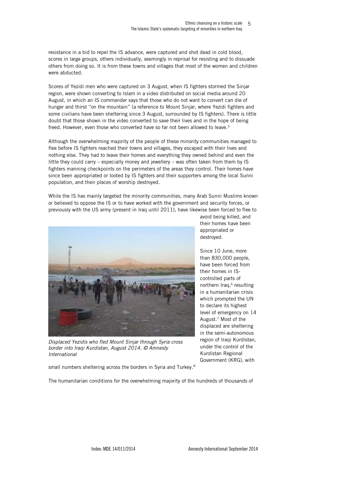resistance in a bid to repel the IS advance, were captured and shot dead in cold blood, scores in large groups, others individually, seemingly in reprisal for resisting and to dissuade others from doing so. It is from these towns and villages that most of the women and children were abducted.

Scores of Yezidi men who were captured on 3 August, when IS fighters stormed the Sinjar region, were shown converting to Islam in a video distributed on social media around 20 August, in which an IS commander says that those who do not want to convert can die of hunger and thirst "on the mountain" (a reference to Mount Sinjar, where Yezidi fighters and some civilians have been sheltering since 3 August, surrounded by IS fighters). There is little doubt that those shown in the video converted to save their lives and in the hope of being freed. However, even those who converted have so far not been allowed to leave.<sup>5</sup>

Although the overwhelming majority of the people of these minority communities managed to flee before IS fighters reached their towns and villages, they escaped with their lives and nothing else. They had to leave their homes and everything they owned behind and even the little they could carry – especially money and jewellery – was often taken from them by IS fighters manning checkpoints on the perimeters of the areas they control. Their homes have since been appropriated or looted by IS fighters and their supporters among the local Sunni population, and their places of worship destroyed.

While the IS has mainly targeted the minority communities, many Arab Sunni Muslims known or believed to oppose the IS or to have worked with the government and security forces, or previously with the US army (present in Iraq until 2011), have likewise been forced to flee to



*Displaced Yezidis who fled Mount Sinjar through Syria cross border into Iraqi Kurdistan, August 2014. © Amnesty International*

avoid being killed, and their homes have been appropriated or destroyed.

Since 10 June, more than 830,000 people, have been forced from their homes in IScontrolled parts of northern Iraq,<sup>6</sup> resulting in a humanitarian crisis which prompted the UN to declare its highest level of emergency on 14 August. <sup>7</sup> Most of the displaced are sheltering in the semi-autonomous region of Iraqi Kurdistan, under the control of the Kurdistan Regional Government (KRG), with

small numbers sheltering across the borders in Syria and Turkey.<sup>8</sup>

The humanitarian conditions for the overwhelming majority of the hundreds of thousands of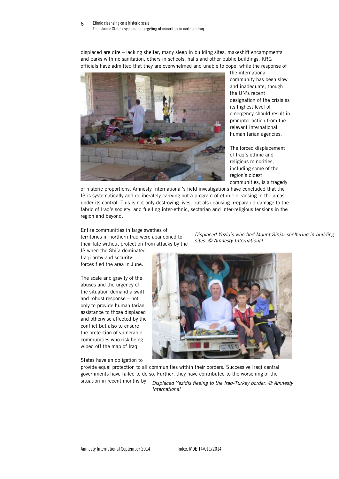displaced are dire – lacking shelter, many sleep in building sites, makeshift encampments and parks with no sanitation, others in schools, halls and other public buildings. KRG officials have admitted that they are overwhelmed and unable to cope, while the response of



the international community has been slow and inadequate, though the UN's recent designation of the crisis as its highest level of emergency should result in prompter action from the relevant international humanitarian agencies.

The forced displacement of Iraq's ethnic and religious minorities, including some of the region's oldest communities, is a tragedy

of historic proportions. Amnesty International's field investigations have concluded that the IS is systematically and deliberately carrying out a program of ethnic cleansing in the areas under its control. This is not only destroying lives, but also causing irreparable damage to the fabric of Iraq's society, and fuelling inter-ethnic, sectarian and inter-religious tensions in the region and beyond.

Entire communities in large swathes of territories in northern Iraq were abandoned to their fate without protection from attacks by the

IS when the Shi'a-dominated Iraqi army and security forces fled the area in June.

The scale and gravity of the abuses and the urgency of the situation demand a swift and robust response – not only to provide humanitarian assistance to those displaced and otherwise affected by the conflict but also to ensure the protection of vulnerable communities who risk being wiped off the map of Iraq.

States have an obligation to

provide equal protection to all communities within their borders. Successive Iraqi central governments have failed to do so. Further, they have contributed to the worsening of the

situation in recent months by

*Displaced Yezidis fleeing to the Iraq-Turkey border. © Amnesty International*

*Displaced Yezidis who fled Mount Sinjar sheltering in building sites. © Amnesty International*

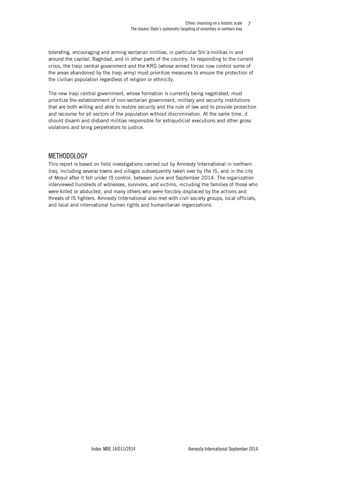tolerating, encouraging and arming sectarian militias, in particular Shi'a militias in and around the capital, Baghdad, and in other parts of the country. In responding to the current crisis, the Iraqi central government and the KRG (whose armed forces now control some of the areas abandoned by the Iraqi army) must prioritize measures to ensure the protection of the civilian population regardless of religion or ethnicity.

The new Iraqi central government, whose formation is currently being negotiated, must prioritize the establishment of non-sectarian government, military and security institutions that are both willing and able to restore security and the rule of law and to provide protection and recourse for all sectors of the population without discrimination. At the same time, it should disarm and disband militias responsible for extrajudicial executions and other gross violations and bring perpetrators to justice.

#### <span id="page-6-0"></span>METHODOLOGY

This report is based on field investigations carried out by Amnesty International in northern Iraq, including several towns and villages subsequently taken over by the IS, and in the city of Mosul after it fell under IS control, between June and September 2014. The organization interviewed hundreds of witnesses, survivors, and victims, including the families of those who were killed or abducted, and many others who were forcibly displaced by the actions and threats of IS fighters. Amnesty International also met with civil society groups, local officials, and local and international human rights and humanitarian organizations.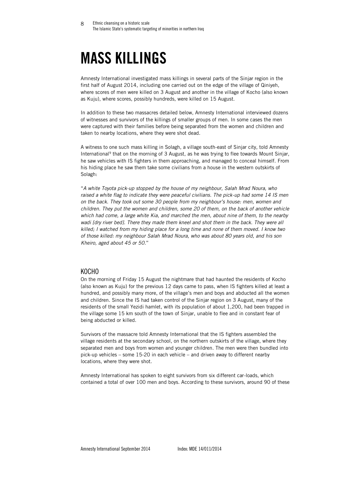## <span id="page-7-0"></span>**MASS KILLINGS**

Amnesty International investigated mass killings in several parts of the Sinjar region in the first half of August 2014, including one carried out on the edge of the village of Qiniyeh, where scores of men were killed on 3 August and another in the village of Kocho (also known as Kuju), where scores, possibly hundreds, were killed on 15 August.

In addition to these two massacres detailed below, Amnesty International interviewed dozens of witnesses and survivors of the killings of smaller groups of men. In some cases the men were captured with their families before being separated from the women and children and taken to nearby locations, where they were shot dead.

A witness to one such mass killing in Solagh, a village south-east of Sinjar city, told Amnesty International<sup>9</sup> that on the morning of 3 August, as he was trying to flee towards Mount Sinjar, he saw vehicles with IS fighters in them approaching, and managed to conceal himself. From his hiding place he saw them take some civilians from a house in the western outskirts of Solagh:

"*A white Toyota pick-up stopped by the house of my neighbour, Salah Mrad Noura, who raised a white flag to indicate they were peaceful civilians. The pick-up had some 14 IS men on the back. They took out some 30 people from my neighbour's house: men, women and children. They put the women and children, some 20 of them, on the back of another vehicle which had come, a large white Kia, and marched the men, about nine of them, to the nearby wadi [dry river bed]. There they made them kneel and shot them in the back. They were all killed; I watched from my hiding place for a long time and none of them moved. I know two of those killed: my neighbour Salah Mrad Noura, who was about 80 years old, and his son Kheiro, aged about 45 or 50.*"

#### <span id="page-7-1"></span>KOCHO

On the morning of Friday 15 August the nightmare that had haunted the residents of Kocho (also known as Kuju) for the previous 12 days came to pass, when IS fighters killed at least a hundred, and possibly many more, of the village's men and boys and abducted all the women and children. Since the IS had taken control of the Sinjar region on 3 August, many of the residents of the small Yezidi hamlet, with its population of about 1,200, had been trapped in the village some 15 km south of the town of Sinjar, unable to flee and in constant fear of being abducted or killed.

Survivors of the massacre told Amnesty International that the IS fighters assembled the village residents at the secondary school, on the northern outskirts of the village, where they separated men and boys from women and younger children. The men were then bundled into pick-up vehicles – some 15-20 in each vehicle – and driven away to different nearby locations, where they were shot.

Amnesty International has spoken to eight survivors from six different car-loads, which contained a total of over 100 men and boys. According to these survivors, around 90 of these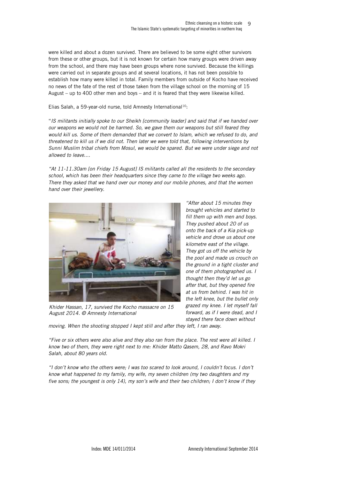were killed and about a dozen survived. There are believed to be some eight other survivors from these or other groups, but it is not known for certain how many groups were driven away from the school, and there may have been groups where none survived. Because the killings were carried out in separate groups and at several locations, it has not been possible to establish how many were killed in total. Family members from outside of Kocho have received no news of the fate of the rest of those taken from the village school on the morning of 15 August – up to 400 other men and boys – and it is feared that they were likewise killed.

Elias Salah, a 59-year-old nurse, told Amnesty International<sup>10</sup>:

"*IS militants initially spoke to our Sheikh [community leader] and said that if we handed over our weapons we would not be harmed. So, we gave them our weapons but still feared they would kill us*. *Some of them demanded that we convert to Islam, which we refused to do, and threatened to kill us if we did not. Then later we were told that, following interventions by Sunni Muslim tribal chiefs from Mosul, we would be spared. But we were under siege and not allowed to leave....* 

*"At 11-11.30am [on Friday 15 August] IS militants called all the residents to the secondary school, which has been their headquarters since they came to the village two weeks ago. There they asked that we hand over our money and our mobile phones, and that the women hand over their jewellery.* 



*Khider Hassan, 17, survived the Kocho massacre on 15 August 2014. © Amnesty International*

*"After about 15 minutes they brought vehicles and started to fill them up with men and boys. They pushed about 20 of us onto the back of a Kia pick-up vehicle and drove us about one kilometre east of the village. They got us off the vehicle by the pool and made us crouch on the ground in a tight cluster and one of them photographed us. I thought then they'd let us go after that, but they opened fire at us from behind. I was hit in the left knee, but the bullet only grazed my knee. I let myself fall forward, as if I were dead, and I stayed there face down without* 

*moving. When the shooting stopped I kept still and after they left, I ran away.* 

*"Five or six others were also alive and they also ran from the place. The rest were all killed. I know two of them, they were right next to me: Khider Matto Qasem, 28, and Ravo Mokri Salah, about 80 years old.* 

*"I don't know who the others were; I was too scared to look around, I couldn't focus. I don't know what happened to my family, my wife, my seven children (my two daughters and my five sons; the youngest is only 14), my son's wife and their two children; I don't know if they*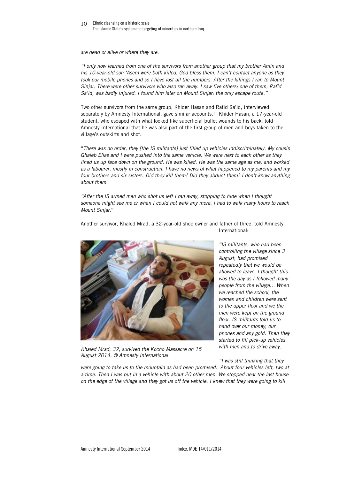*are dead or alive or where they are.* 

*"I only now learned from one of the survivors from another group that my brother Amin and his 10-year-old son 'Asem were both killed, God bless them. I can't contact anyone as they took our mobile phones and so I have lost all the numbers. After the killings I ran to Mount Sinjar. There were other survivors who also ran away. I saw five others; one of them, Rafid Sa'id, was badly injured. I found him later on Mount Sinjar; the only escape route."*

Two other survivors from the same group, Khider Hasan and Rafid Sa'id, interviewed separately by Amnesty International, gave similar accounts.<sup>11</sup> Khider Hasan, a 17-year-old student, who escaped with what looked like superficial bullet wounds to his back, told Amnesty International that he was also part of the first group of men and boys taken to the village's outskirts and shot.

"*There was no order, they [the IS militants] just filled up vehicles indiscriminately. My cousin Ghaleb Elias and I were pushed into the same vehicle. We were next to each other as they lined us up face down on the ground. He was killed. He was the same age as me, and worked as a labourer, mostly in construction. I have no news of what happened to my parents and my four brothers and six sisters. Did they kill them? Did they abduct them? I don't know anything about them.* 

*"After the IS armed men who shot us left I ran away, stopping to hide when I thought someone might see me or when I could not walk any more. I had to walk many hours to reach Mount Sinjar.*"

Another survivor, Khaled Mrad, a 32-year-old shop owner and father of three, told Amnesty International:



*Khaled Mrad, 32, survived the Kocho Massacre on 15 August 2014. © Amnesty International*

*"IS militants, who had been controlling the village since 3 August, had promised repeatedly that we would be allowed to leave. I thought this was the day as I followed many people from the village… When we reached the school, the women and children were sent to the upper floor and we the men were kept on the ground floor. IS militants told us to hand over our money, our phones and any gold. Then they started to fill pick-up vehicles with men and to drive away.* 

*"I was still thinking that they were going to take us to the mountain as had been promised. About four vehicles left, two at a time. Then I was put in a vehicle with about 20 other men. We stopped near the last house on the edge of the village and they got us off the vehicle, I knew that they were going to kill*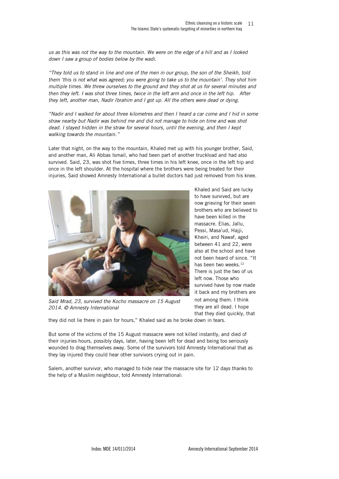*us as this was not the way to the mountain. We were on the edge of a hill and as I looked down I saw a group of bodies below by the wadi.* 

*"They told us to stand in line and one of the men in our group, the son of the Sheikh, told them 'this is not what was agreed; you were going to take us to the mountain'. They shot him multiple times. We threw ourselves to the ground and they shot at us for several minutes and then they left. I was shot three times, twice in the left arm and once in the left hip. After they left, another man, Nadir Ibrahim and I got up. All the others were dead or dying.* 

*"Nadir and I walked for about three kilometres and then I heard a car come and I hid in some straw nearby but Nadir was behind me and did not manage to hide on time and was shot dead. I stayed hidden in the straw for several hours, until the evening, and then I kept walking towards the mountain."*

Later that night, on the way to the mountain, Khaled met up with his younger brother, Said, and another man, Ali Abbas Ismail, who had been part of another truckload and had also survived. Said, 23, was shot five times, three times in his left knee, once in the left hip and once in the left shoulder. At the hospital where the brothers were being treated for their injuries, Said showed Amnesty International a bullet doctors had just removed from his knee.



Khaled and Said are lucky to have survived, but are now grieving for their seven brothers who are believed to have been killed in the massacre. Elias, Jallu, Pessi, Masa'ud, Hajji, Kheiri, and Nawaf, aged between 41 and 22, were also at the school and have not been heard of since. "It has been two weeks.<sup>12</sup> There is just the two of us left now. Those who survived have by now made it back and my brothers are not among them. I think they are all dead. I hope that they died quickly, that

*Said Mrad, 23, survived the Kocho massacre on 15 August 2014. © Amnesty International*

they did not lie there in pain for hours," Khaled said as he broke down in tears.

But some of the victims of the 15 August massacre were not killed instantly, and died of their injuries hours, possibly days, later, having been left for dead and being too seriously wounded to drag themselves away. Some of the survivors told Amnesty International that as they lay injured they could hear other survivors crying out in pain.

Salem, another survivor, who managed to hide near the massacre site for 12 days thanks to the help of a Muslim neighbour, told Amnesty International: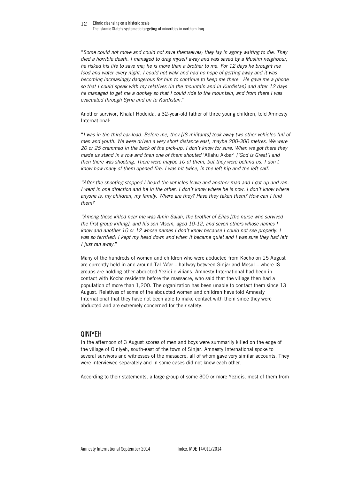"*Some could not move and could not save themselves; they lay in agony waiting to die. They died a horrible death. I managed to drag myself away and was saved by a Muslim neighbour; he risked his life to save me; he is more than a brother to me. For 12 days he brought me food and water every night. I could not walk and had no hope of getting away and it was becoming increasingly dangerous for him to continue to keep me there. He gave me a phone so that I could speak with my relatives (in the mountain and in Kurdistan) and after 12 days he managed to get me a donkey so that I could ride to the mountain, and from there I was evacuated through Syria and on to Kurdistan.*"

Another survivor, Khalaf Hodeida, a 32-year-old father of three young children, told Amnesty International:

"*I was in the third car-load. Before me, they [IS militants] took away two other vehicles full of men and youth. We were driven a very short distance east, maybe 200-300 metres. We were 20 or 25 crammed in the back of the pick-up, I don't know for sure. When we got there they made us stand in a row and then one of them shouted* 'Allahu Akbar' *['God is Great'] and then there was shooting. There were maybe 10 of them, but they were behind us. I don't know how many of them opened fire. I was hit twice, in the left hip and the left calf.*

*"After the shooting stopped I heard the vehicles leave and another man and I got up and ran. I went in one direction and he in the other. I don't know where he is now. I don't know where anyone is, my children, my family. Where are they? Have they taken them? How can I find them?*

*"Among those killed near me was Amin Salah, the brother of Elias [the nurse who survived the first group killing], and his son 'Asem, aged 10-12, and seven others whose names I know and another 10 or 12 whose names I don't know because I could not see properly. I was so terrified; I kept my head down and when it became quiet and I was sure they had left I just ran away.*"

Many of the hundreds of women and children who were abducted from Kocho on 15 August are currently held in and around Tal 'Afar – halfway between Sinjar and Mosul – where IS groups are holding other abducted Yezidi civilians. Amnesty International had been in contact with Kocho residents before the massacre, who said that the village then had a population of more than 1,200. The organization has been unable to contact them since 13 August. Relatives of some of the abducted women and children have told Amnesty International that they have not been able to make contact with them since they were abducted and are extremely concerned for their safety.

#### <span id="page-11-0"></span>QINIYEH

In the afternoon of 3 August scores of men and boys were summarily killed on the edge of the village of Qiniyeh, south-east of the town of Sinjar. Amnesty International spoke to several survivors and witnesses of the massacre, all of whom gave very similar accounts. They were interviewed separately and in some cases did not know each other.

According to their statements, a large group of some 300 or more Yezidis, most of them from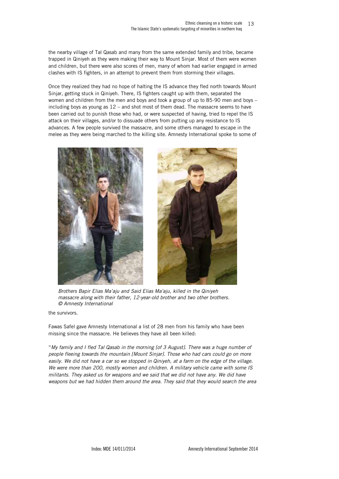the nearby village of Tal Qasab and many from the same extended family and tribe, became trapped in Qiniyeh as they were making their way to Mount Sinjar. Most of them were women and children, but there were also scores of men, many of whom had earlier engaged in armed clashes with IS fighters, in an attempt to prevent them from storming their villages.

Once they realized they had no hope of halting the IS advance they fled north towards Mount Sinjar, getting stuck in Qiniyeh. There, IS fighters caught up with them, separated the women and children from the men and boys and took a group of up to 85-90 men and boys – including boys as young as  $12$  – and shot most of them dead. The massacre seems to have been carried out to punish those who had, or were suspected of having, tried to repel the IS attack on their villages, and/or to dissuade others from putting up any resistance to IS advances. A few people survived the massacre, and some others managed to escape in the melee as they were being marched to the killing site. Amnesty International spoke to some of



*Brothers Bapir Elias Ma'aju and Said Elias Ma'aju, killed in the Qiniyeh massacre along with their father, 12-year-old brother and two other brothers. © Amnesty International*

the survivors.

Fawas Safel gave Amnesty International a list of 28 men from his family who have been missing since the massacre. He believes they have all been killed:

"*My family and I fled Tal Qasab in the morning [of 3 August]. There was a huge number of people fleeing towards the mountain [Mount Sinjar]. Those who had cars could go on more easily. We did not have a car so we stopped in Qiniyeh, at a farm on the edge of the village. We were more than 200, mostly women and children. A military vehicle came with some IS militants. They asked us for weapons and we said that we did not have any. We did have weapons but we had hidden them around the area. They said that they would search the area*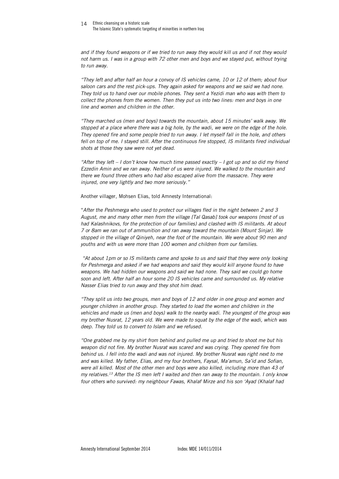*and if they found weapons or if we tried to run away they would kill us and if not they would not harm us. I was in a group with 72 other men and boys and we stayed put, without trying to run away.* 

*"They left and after half an hour a convoy of IS vehicles came, 10 or 12 of them; about four saloon cars and the rest pick-ups. They again asked for weapons and we said we had none. They told us to hand over our mobile phones. They sent a Yezidi man who was with them to collect the phones from the women. Then they put us into two lines: men and boys in one line and women and children in the other.* 

*"They marched us (men and boys) towards the mountain, about 15 minutes' walk away. We stopped at a place where there was a big hole, by the wadi, we were on the edge of the hole. They opened fire and some people tried to run away. I let myself fall in the hole, and others fell on top of me. I stayed still. After the continuous fire stopped, IS militants fired individual shots at those they saw were not yet dead.* 

*"After they left – I don't know how much time passed exactly – I got up and so did my friend Ezzedin Amin and we ran away. Neither of us were injured. We walked to the mountain and there we found three others who had also escaped alive from the massacre. They were injured, one very lightly and two more seriously."*

Another villager, Mohsen Elias, told Amnesty International:

"*After the Peshmerga who used to protect our villages fled in the night between 2 and 3 August, me and many other men from the village [Tal Qasab] took our weapons (most of us had Kalashnikovs, for the protection of our families) and clashed with IS militants. At about 7 or 8am we ran out of ammunition and ran away toward the mountain (Mount Sinjar). We stopped in the village of Qiniyeh, near the foot of the mountain. We were about 90 men and youths and with us were more than 100 women and children from our families.* 

*"At about 1pm or so IS militants came and spoke to us and said that they were only looking for Peshmerga and asked if we had weapons and said they would kill anyone found to have*  weapons. We had hidden our weapons and said we had none. They said we could go home *soon and left. After half an hour some 20 IS vehicles came and surrounded us. My relative Nasser Elias tried to run away and they shot him dead.* 

*"They split us into two groups, men and boys of 12 and older in one group and women and younger children in another group. They started to load the women and children in the vehicles and made us (men and boys) walk to the nearby wadi. The youngest of the group was my brother Nusrat, 12 years old. We were made to squat by the edge of the wadi, which was deep. They told us to convert to Islam and we refused.* 

*"One grabbed me by my shirt from behind and pulled me up and tried to shoot me but his weapon did not fire. My brother Nusrat was scared and was crying. They opened fire from behind us. I fell into the wadi and was not injured. My brother Nusrat was right next to me and was killed. My father, Elias, and my four brothers, Faysal, Ma'amun, Sa'id and Sofian, were all killed. Most of the other men and boys were also killed, including more than 43 of my relatives. <sup>13</sup> After the IS men left I waited and then ran away to the mountain. I only know four others who survived: my neighbour Fawas, Khalaf Mirze and his son 'Ayad (Khalaf had*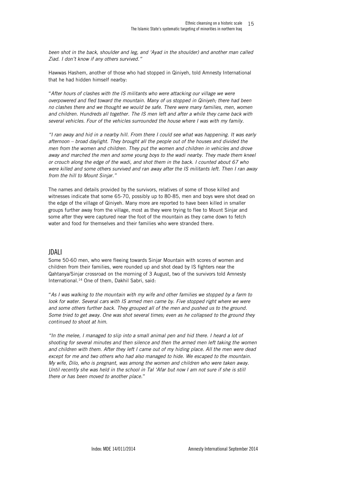*been shot in the back, shoulder and leg, and 'Ayad in the shoulder) and another man called Ziad. I don't know if any others survived."*

Hawwas Hashem, another of those who had stopped in Qiniyeh, told Amnesty International that he had hidden himself nearby:

"*After hours of clashes with the IS militants who were attacking our village we were overpowered and fled toward the mountain. Many of us stopped in Qiniyeh; there had been no clashes there and we thought we would be safe. There were many families, men, women and children. Hundreds all together. The IS men left and after a while they came back with several vehicles. Four of the vehicles surrounded the house where I was with my family.* 

*"I ran away and hid in a nearby hill. From there I could see what was happening. It was early afternoon – broad daylight. They brought all the people out of the houses and divided the men from the women and children. They put the women and children in vehicles and drove*  away and marched the men and some young boys to the wadi nearby. They made them kneel *or crouch along the edge of the wadi, and shot them in the back. I counted about 67 who were killed and some others survived and ran away after the IS militants left. Then I ran away from the hill to Mount Sinjar."*

The names and details provided by the survivors, relatives of some of those killed and witnesses indicate that some 65-70, possibly up to 80-85, men and boys were shot dead on the edge of the village of Qiniyeh. Many more are reported to have been killed in smaller groups further away from the village, most as they were trying to flee to Mount Sinjar and some after they were captured near the foot of the mountain as they came down to fetch water and food for themselves and their families who were stranded there.

#### <span id="page-14-0"></span>JDALI

Some 50-60 men, who were fleeing towards Sinjar Mountain with scores of women and children from their families, were rounded up and shot dead by IS fighters near the Qahtanya/Sinjar crossroad on the morning of 3 August, two of the survivors told Amnesty International.<sup>14</sup> One of them, Dakhil Sabri, said:

"*As I was walking to the mountain with my wife and other families we stopped by a farm to look for water. Several cars with IS armed men came by. Five stopped right where we were* and some others further back. They grouped all of the men and pushed us to the ground. *Some tried to get away. One was shot several times; even as he collapsed to the ground they continued to shoot at him.* 

*"In the melee, I managed to slip into a small animal pen and hid there. I heard a lot of shooting for several minutes and then silence and then the armed men left taking the women and children with them. After they left I came out of my hiding place. All the men were dead except for me and two others who had also managed to hide. We escaped to the mountain. My wife, Dilo, who is pregnant, was among the women and children who were taken away. Until recently she was held in the school in Tal 'Afar but now I am not sure if she is still there or has been moved to another place.*"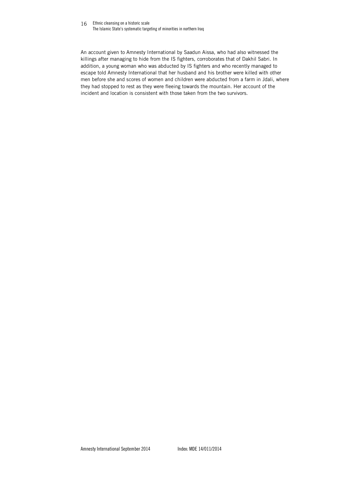#### Ethnic cleansing on a historic scale 16 The Islamic State's systematic targeting of minorities in northern Iraq

An account given to Amnesty International by Saadun Aissa, who had also witnessed the killings after managing to hide from the IS fighters, corroborates that of Dakhil Sabri. In addition, a young woman who was abducted by IS fighters and who recently managed to escape told Amnesty International that her husband and his brother were killed with other men before she and scores of women and children were abducted from a farm in Jdali, where they had stopped to rest as they were fleeing towards the mountain. Her account of the incident and location is consistent with those taken from the two survivors.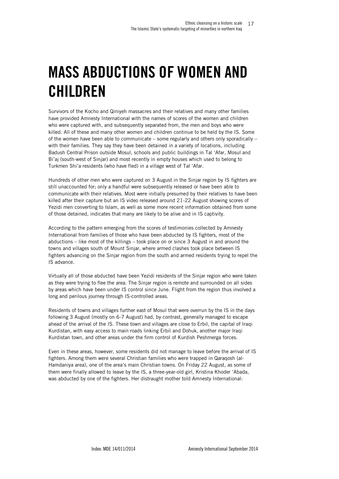### <span id="page-16-0"></span>**MASS ABDUCTIONS OF WOMEN AND CHILDREN**

Survivors of the Kocho and Qiniyeh massacres and their relatives and many other families have provided Amnesty International with the names of scores of the women and children who were captured with, and subsequently separated from, the men and boys who were killed. All of these and many other women and children continue to be held by the IS. Some of the women have been able to communicate – some regularly and others only sporadically – with their families. They say they have been detained in a variety of locations, including Badush Central Prison outside Mosul, schools and public buildings in Tal 'Afar, Mosul and Bi'aj (south-west of Sinjar) and most recently in empty houses which used to belong to Turkmen Shi'a residents (who have fled) in a village west of Tal 'Afar.

Hundreds of other men who were captured on 3 August in the Sinjar region by IS fighters are still unaccounted for; only a handful were subsequently released or have been able to communicate with their relatives. Most were initially presumed by their relatives to have been killed after their capture but an IS video released around 21-22 August showing scores of Yezidi men converting to Islam, as well as some more recent information obtained from some of those detained, indicates that many are likely to be alive and in IS captivity.

According to the pattern emerging from the scores of testimonies collected by Amnesty International from families of those who have been abducted by IS fighters, most of the abductions – like most of the killings – took place on or since 3 August in and around the towns and villages south of Mount Sinjar, where armed clashes took place between IS fighters advancing on the Sinjar region from the south and armed residents trying to repel the IS advance.

Virtually all of those abducted have been Yezidi residents of the Sinjar region who were taken as they were trying to flee the area. The Sinjar region is remote and surrounded on all sides by areas which have been under IS control since June. Flight from the region thus involved a long and perilous journey through IS-controlled areas.

Residents of towns and villages further east of Mosul that were overrun by the IS in the days following 3 August (mostly on 6-7 August) had, by contrast, generally managed to escape ahead of the arrival of the IS. These town and villages are close to Erbil, the capital of Iraqi Kurdistan, with easy access to main roads linking Erbil and Dohuk, another major Iraqi Kurdistan town, and other areas under the firm control of Kurdish Peshmerga forces.

Even in these areas, however, some residents did not manage to leave before the arrival of IS fighters. Among them were several Christian families who were trapped in Qaraqosh (al-Hamdaniya area), one of the area's main Christian towns. On Friday 22 August, as some of them were finally allowed to leave by the IS, a three-year-old girl, Kristina Khoder 'Abada, was abducted by one of the fighters. Her distraught mother told Amnesty International: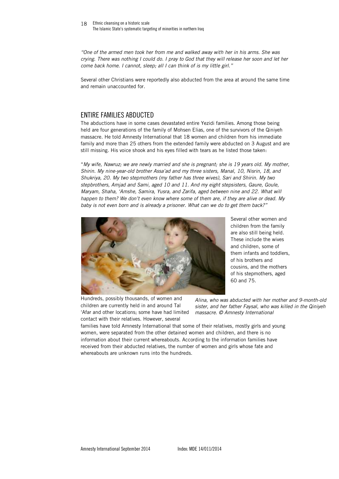*"One of the armed men took her from me and walked away with her in his arms. She was crying. There was nothing I could do. I pray to God that they will release her soon and let her come back home. I cannot, sleep; all I can think of is my little girl."* 

Several other Christians were reportedly also abducted from the area at around the same time and remain unaccounted for.

#### <span id="page-17-0"></span>ENTIRE FAMILIES ABDUCTED

The abductions have in some cases devastated entire Yezidi families. Among those being held are four generations of the family of Mohsen Elias, one of the survivors of the Qiniyeh massacre. He told Amnesty International that 18 women and children from his immediate family and more than 25 others from the extended family were abducted on 3 August and are still missing. His voice shook and his eyes filled with tears as he listed those taken:

"*My wife, Nawruz; we are newly married and she is pregnant; she is 19 years old. My mother, Shirin. My nine-year-old brother Assa'ad and my three sisters, Manal, 10, Nisrin, 18, and Shukriya, 20. My two stepmothers (my father has three wives), Sari and Shirin. My two stepbrothers, Amjad and Sami, aged 10 and 11. And my eight stepsisters, Gaure, Goule, Maryam, Shaha, 'Amshe, Samira, Yusra, and Zarifa, aged between nine and 22. What will happen to them? We don't even know where some of them are, if they are alive or dead. My baby is not even born and is already a prisoner. What can we do to get them back?"*



Hundreds, possibly thousands, of women and children are currently held in and around Tal 'Afar and other locations; some have had limited contact with their relatives. However, several

Several other women and children from the family are also still being held. These include the wives and children, some of them infants and toddlers, of his brothers and cousins, and the mothers of his stepmothers, aged 60 and 75.

*Alina, who was abducted with her mother and 9-month-old sister, and her father Faysal, who was killed in the Qiniyeh massacre. © Amnesty International*

families have told Amnesty International that some of their relatives, mostly girls and young women, were separated from the other detained women and children, and there is no information about their current whereabouts. According to the information families have received from their abducted relatives, the number of women and girls whose fate and whereabouts are unknown runs into the hundreds.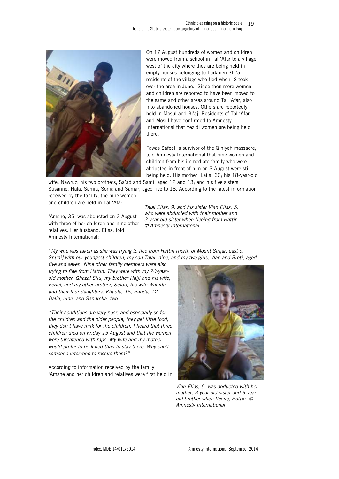

On 17 August hundreds of women and children were moved from a school in Tal 'Afar to a village west of the city where they are being held in empty houses belonging to Turkmen Shi'a residents of the village who fled when IS took over the area in June. Since then more women and children are reported to have been moved to the same and other areas around Tal 'Afar, also into abandoned houses. Others are reportedly held in Mosul and Bi'aj. Residents of Tal 'Afar and Mosul have confirmed to Amnesty International that Yezidi women are being held there.

Fawas Safeel, a survivor of the Qiniyeh massacre, told Amnesty International that nine women and children from his immediate family who were abducted in front of him on 3 August were still being held. His mother, Laila, 60; his 18-year-old

wife, Nawruz; his two brothers, Sa'ad and Sami, aged 12 and 13; and his five sisters, Susanne, Hala, Samia, Sonia and Samar, aged five to 18. According to the latest information received by the family, the nine women and children are held in Tal 'Afar.

'Amshe, 35, was abducted on 3 August with three of her children and nine other relatives. Her husband, Elias, told Amnesty International:

*Talal Elias, 9, and his sister Vian Elias, 5, who were abducted with their mother and 3-year-old sister when fleeing from Hattin. © Amnesty International*

"*My wife was taken as she was trying to flee from Hattin [north of Mount Sinjar, east of Snuni] with our youngest children, my son Talal, nine, and my two girls, Vian and Breti, aged* 

*five and seven. Nine other family members were also trying to flee from Hattin. They were with my 70-yearold mother, Ghazal Silu, my brother Hajji and his wife, Feriel, and my other brother, Seidu, his wife Wahida and their four daughters, Khaula, 16, Randa, 12, Dalia, nine, and Sandrella, two.* 

*"Their conditions are very poor, and especially so for the children and the older people; they get little food, they don't have milk for the children. I heard that three children died on Friday 15 August and that the women were threatened with rape. My wife and my mother would prefer to be killed than to stay there*. *Why can't someone intervene to rescue them?"*

According to information received by the family, 'Amshe and her children and relatives were first held in



*Vian Elias, 5, was abducted with her mother, 3-year-old sister and 9-yearold brother when fleeing Hattin. © Amnesty International*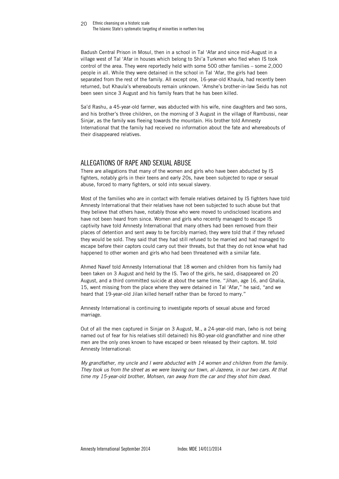Badush Central Prison in Mosul, then in a school in Tal 'Afar and since mid-August in a village west of Tal 'Afar in houses which belong to Shi'a Turkmen who fled when IS took control of the area. They were reportedly held with some 500 other families – some 2,000 people in all. While they were detained in the school in Tal 'Afar, the girls had been separated from the rest of the family. All except one, 16-year-old Khaula, had recently been returned, but Khaula's whereabouts remain unknown. 'Amshe's brother-in-law Seidu has not been seen since 3 August and his family fears that he has been killed.

Sa'd Rashu, a 45-year-old farmer, was abducted with his wife, nine daughters and two sons, and his brother's three children, on the morning of 3 August in the village of Rambussi, near Sinjar, as the family was fleeing towards the mountain. His brother told Amnesty International that the family had received no information about the fate and whereabouts of their disappeared relatives.

#### <span id="page-19-0"></span>ALLEGATIONS OF RAPE AND SEXUAL ABUSE

There are allegations that many of the women and girls who have been abducted by IS fighters, notably girls in their teens and early 20s, have been subjected to rape or sexual abuse, forced to marry fighters, or sold into sexual slavery.

Most of the families who are in contact with female relatives detained by IS fighters have told Amnesty International that their relatives have not been subjected to such abuse but that they believe that others have, notably those who were moved to undisclosed locations and have not been heard from since. Women and girls who recently managed to escape IS captivity have told Amnesty International that many others had been removed from their places of detention and sent away to be forcibly married; they were told that if they refused they would be sold. They said that they had still refused to be married and had managed to escape before their captors could carry out their threats, but that they do not know what had happened to other women and girls who had been threatened with a similar fate.

Ahmed Navef told Amnesty International that 18 women and children from his family had been taken on 3 August and held by the IS. Two of the girls, he said, disappeared on 20 August, and a third committed suicide at about the same time. "Jihan, age 16, and Ghalia, 15, went missing from the place where they were detained in Tal 'Afar," he said, "and we heard that 19-year-old Jilan killed herself rather than be forced to marry."

Amnesty International is continuing to investigate reports of sexual abuse and forced marriage.

Out of all the men captured in Sinjar on 3 August, M., a 24-year-old man, (who is not being named out of fear for his relatives still detained) his 80-year-old grandfather and nine other men are the only ones known to have escaped or been released by their captors. M. told Amnesty International:

*My grandfather, my uncle and I were abducted with 14 women and children from the family. They took us from the street as we were leaving our town, al-Jazeera, in our two cars. At that time my 15-year-old brother, Mohsen, ran away from the car and they shot him dead.*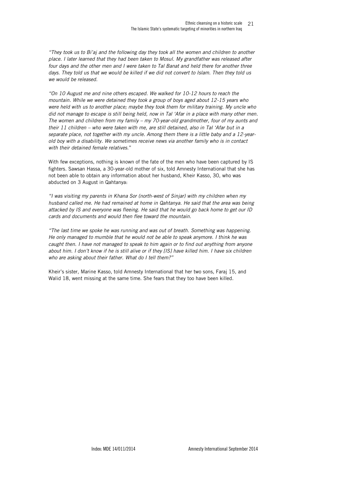*"They took us to Bi'aj and the following day they took all the women and children to another place. I later learned that they had been taken to Mosul. My grandfather was released after four days and the other men and I were taken to Tal Banat and held there for another three days. They told us that we would be killed if we did not convert to Islam. Then they told us we would be released.* 

*"On 10 August me and nine others escaped. We walked for 10-12 hours to reach the mountain. While we were detained they took a group of boys aged about 12-15 years who were held with us to another place; maybe they took them for military training. My uncle who did not manage to escape is still being held, now in Tal 'Afar in a place with many other men. The women and children from my family – my 70-year-old grandmother, four of my aunts and their 11 children – who were taken with me, are still detained, also in Tal 'Afar but in a separate place, not together with my uncle. Among them there is a little baby and a 12-yearold boy with a disability. We sometimes receive news via another family who is in contact with their detained female relatives*."

With few exceptions, nothing is known of the fate of the men who have been captured by IS fighters. Sawsan Hassa, a 30-year-old mother of six, told Amnesty International that she has not been able to obtain any information about her husband, Kheir Kasso, 30, who was abducted on 3 August in Qahtanya:

*"I was visiting my parents in Khana Sor (north-west of Sinjar) with my children when my husband called me. He had remained at home in Qahtanya. He said that the area was being attacked by IS and everyone was fleeing. He said that he would go back home to get our ID cards and documents and would then flee toward the mountain.* 

*"The last time we spoke he was running and was out of breath. Something was happening. He only managed to mumble that he would not be able to speak anymore. I think he was caught then. I have not managed to speak to him again or to find out anything from anyone about him. I don't know if he is still alive or if they [IS] have killed him. I have six children who are asking about their father. What do I tell them?"*

Kheir's sister, Marine Kasso, told Amnesty International that her two sons, Faraj 15, and Walid 18, went missing at the same time. She fears that they too have been killed.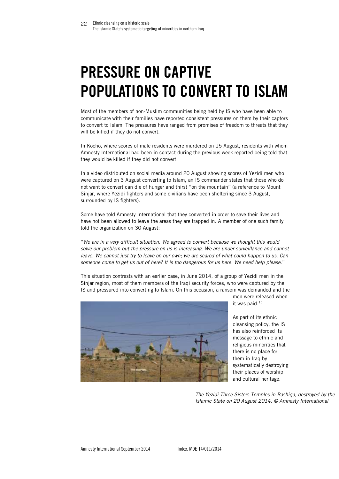### <span id="page-21-0"></span>**PRESSURE ON CAPTIVE POPULATIONS TO CONVERT TO ISLAM**

Most of the members of non-Muslim communities being held by IS who have been able to communicate with their families have reported consistent pressures on them by their captors to convert to Islam. The pressures have ranged from promises of freedom to threats that they will be killed if they do not convert.

In Kocho, where scores of male residents were murdered on 15 August, residents with whom Amnesty International had been in contact during the previous week reported being told that they would be killed if they did not convert.

In a video distributed on social media around 20 August showing scores of Yezidi men who were captured on 3 August converting to Islam, an IS commander states that those who do not want to convert can die of hunger and thirst "on the mountain" (a reference to Mount Sinjar, where Yezidi fighters and some civilians have been sheltering since 3 August, surrounded by IS fighters).

Some have told Amnesty International that they converted in order to save their lives and have not been allowed to leave the areas they are trapped in. A member of one such family told the organization on 30 August:

"*We are in a very difficult situation. We agreed to convert because we thought this would solve our problem but the pressure on us is increasing. We are under surveillance and cannot leave. We cannot just try to leave on our own; we are scared of what could happen to us. Can someone come to get us out of here? It is too dangerous for us here. We need help please.*"

This situation contrasts with an earlier case, in June 2014, of a group of Yezidi men in the Sinjar region, most of them members of the Iraqi security forces, who were captured by the IS and pressured into converting to Islam. On this occasion, a ransom was demanded and the



men were released when it was paid. 15

As part of its ethnic cleansing policy, the IS has also reinforced its message to ethnic and religious minorities that there is no place for them in Iraq by systematically destroying their places of worship and cultural heritage.

*The Yezidi Three Sisters Temples in Bashiqa, destroyed by the Islamic State on 20 August 2014. © Amnesty International*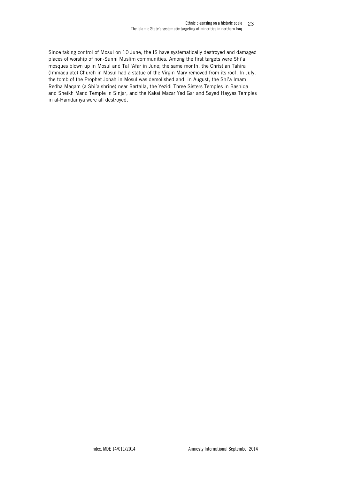Since taking control of Mosul on 10 June, the IS have systematically destroyed and damaged places of worship of non-Sunni Muslim communities. Among the first targets were Shi'a mosques blown up in Mosul and Tal 'Afar in June; the same month, the Christian Tahira (Immaculate) Church in Mosul had a statue of the Virgin Mary removed from its roof. In July, the tomb of the Prophet Jonah in Mosul was demolished and, in August, the Shi'a Imam Redha Maqam (a Shi'a shrine) near Bartalla, the Yezidi Three Sisters Temples in Bashiqa and Sheikh Mand Temple in Sinjar, and the Kakai Mazar Yad Gar and Sayed Hayyas Temples in al-Hamdaniya were all destroyed.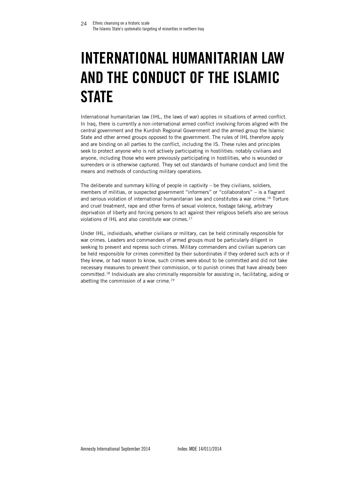### <span id="page-23-0"></span>**INTERNATIONAL HUMANITARIAN LAW AND THE CONDUCT OF THE ISLAMIC STATE**

International humanitarian law (IHL, the laws of war) applies in situations of armed conflict. In Iraq, there is currently a non-international armed conflict involving forces aligned with the central government and the Kurdish Regional Government and the armed group the Islamic State and other armed groups opposed to the government. The rules of IHL therefore apply and are binding on all parties to the conflict, including the IS. These rules and principles seek to protect anyone who is not actively participating in hostilities: notably civilians and anyone, including those who were previously participating in hostilities, who is wounded or surrenders or is otherwise captured. They set out standards of humane conduct and limit the means and methods of conducting military operations.

The deliberate and summary killing of people in captivity – be they civilians, soldiers, members of militias, or suspected government "informers" or "collaborators" – is a flagrant and serious violation of international humanitarian law and constitutes a war crime.<sup>16</sup> Torture and cruel treatment, rape and other forms of sexual violence, hostage taking, arbitrary deprivation of liberty and forcing persons to act against their religious beliefs also are serious violations of IHL and also constitute war crimes.<sup>17</sup>

Under IHL, individuals, whether civilians or military, can be held criminally responsible for war crimes. Leaders and commanders of armed groups must be particularly diligent in seeking to prevent and repress such crimes. Military commanders and civilian superiors can be held responsible for crimes committed by their subordinates if they ordered such acts or if they knew, or had reason to know, such crimes were about to be committed and did not take necessary measures to prevent their commission, or to punish crimes that have already been committed.<sup>18</sup> Individuals are also criminally responsible for assisting in, facilitating, aiding or abetting the commission of a war crime.<sup>19</sup>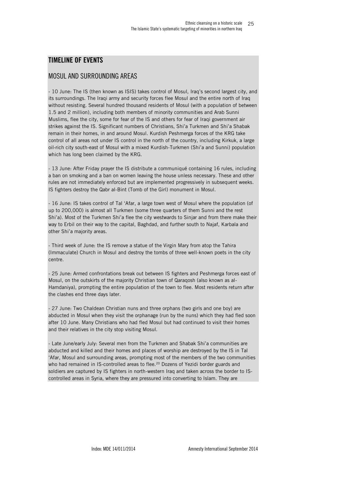### **TIMELINE OF EVENTS**

### MOSUL AND SURROUNDING AREAS

- 10 June: The IS (then known as ISIS) takes control of Mosul, Iraq's second largest city, and its surroundings. The Iraqi army and security forces flee Mosul and the entire north of Iraq without resisting. Several hundred thousand residents of Mosul (with a population of between 1.5 and 2 million), including both members of minority communities and Arab Sunni Muslims, flee the city, some for fear of the IS and others for fear of Iraqi government air strikes against the IS. Significant numbers of Christians, Shi'a Turkmen and Shi'a Shabak remain in their homes, in and around Mosul. Kurdish Peshmerga forces of the KRG take control of all areas not under IS control in the north of the country, including Kirkuk, a large oil-rich city south-east of Mosul with a mixed Kurdish-Turkmen (Shi'a and Sunni) population which has long been claimed by the KRG.

- 13 June: After Friday prayer the IS distribute a communiqué containing 16 rules, including a ban on smoking and a ban on women leaving the house unless necessary. These and other rules are not immediately enforced but are implemented progressively in subsequent weeks. IS fighters destroy the Qabr al-Bint (Tomb of the Girl) monument in Mosul.

- 16 June: IS takes control of Tal 'Afar, a large town west of Mosul where the population (of up to 200,000) is almost all Turkmen (some three quarters of them Sunni and the rest Shi'a). Most of the Turkmen Shi'a flee the city westwards to Sinjar and from there make their way to Erbil on their way to the capital, Baghdad, and further south to Najaf, Karbala and other Shi'a majority areas.

- Third week of June: the IS remove a statue of the Virgin Mary from atop the Tahira (Immaculate) Church in Mosul and destroy the tombs of three well-known poets in the city centre.

- 25 June: Armed confrontations break out between IS fighters and Peshmerga forces east of Mosul, on the outskirts of the majority Christian town of Qaraqosh (also known as al-Hamdaniya), prompting the entire population of the town to flee. Most residents return after the clashes end three days later.

- 27 June: Two Chaldean Christian nuns and three orphans (two girls and one boy) are abducted in Mosul when they visit the orphanage (run by the nuns) which they had fled soon after 10 June. Many Christians who had fled Mosul but had continued to visit their homes and their relatives in the city stop visiting Mosul.

- Late June/early July: Several men from the Turkmen and Shabak Shi'a communities are abducted and killed and their homes and places of worship are destroyed by the IS in Tal 'Afar, Mosul and surrounding areas, prompting most of the members of the two communities who had remained in IS-controlled areas to flee.<sup>20</sup> Dozens of Yezidi border guards and soldiers are captured by IS fighters in north-western Iraq and taken across the border to IScontrolled areas in Syria, where they are pressured into converting to Islam. They are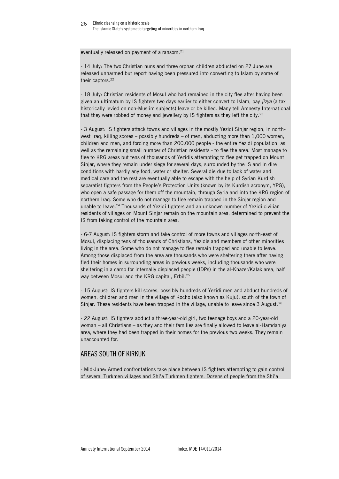eventually released on payment of a ransom.<sup>21</sup>

- 14 July: The two Christian nuns and three orphan children abducted on 27 June are released unharmed but report having been pressured into converting to Islam by some of their captors.<sup>22</sup>

- 18 July: Christian residents of Mosul who had remained in the city flee after having been given an ultimatum by IS fighters two days earlier to either convert to Islam, pay *jizya* (a tax historically levied on non-Muslim subjects) leave or be killed. Many tell Amnesty International that they were robbed of money and jewellery by IS fighters as they left the city.<sup>23</sup>

- 3 August: IS fighters attack towns and villages in the mostly Yezidi Sinjar region, in northwest Iraq, killing scores – possibly hundreds – of men, abducting more than 1,000 women, children and men, and forcing more than 200,000 people - the entire Yezidi population, as well as the remaining small number of Christian residents - to flee the area. Most manage to flee to KRG areas but tens of thousands of Yezidis attempting to flee get trapped on Mount Sinjar, where they remain under siege for several days, surrounded by the IS and in dire conditions with hardly any food, water or shelter. Several die due to lack of water and medical care and the rest are eventually able to escape with the help of Syrian Kurdish separatist fighters from the People's Protection Units (known by its Kurdish acronym, YPG), who open a safe passage for them off the mountain, through Syria and into the KRG region of northern Iraq. Some who do not manage to flee remain trapped in the Sinjar region and unable to leave.<sup>24</sup> Thousands of Yezidi fighters and an unknown number of Yezidi civilian residents of villages on Mount Sinjar remain on the mountain area, determined to prevent the IS from taking control of the mountain area.

- 6-7 August: IS fighters storm and take control of more towns and villages north-east of Mosul, displacing tens of thousands of Christians, Yezidis and members of other minorities living in the area. Some who do not manage to flee remain trapped and unable to leave. Among those displaced from the area are thousands who were sheltering there after having fled their homes in surrounding areas in previous weeks, including thousands who were sheltering in a camp for internally displaced people (IDPs) in the al-Khazer/Kalak area, half way between Mosul and the KRG capital, Erbil.<sup>25</sup>

- 15 August: IS fighters kill scores, possibly hundreds of Yezidi men and abduct hundreds of women, children and men in the village of Kocho (also known as Kuju), south of the town of Sinjar. These residents have been trapped in the village, unable to leave since 3 August.<sup>26</sup>

- 22 August: IS fighters abduct a three-year-old girl, two teenage boys and a 20-year-old woman – all Christians – as they and their families are finally allowed to leave al-Hamdaniya area, where they had been trapped in their homes for the previous two weeks. They remain unaccounted for.

#### AREAS SOUTH OF KIRKUK

- Mid-June: Armed confrontations take place between IS fighters attempting to gain control of several Turkmen villages and Shi'a Turkmen fighters. Dozens of people from the Shi'a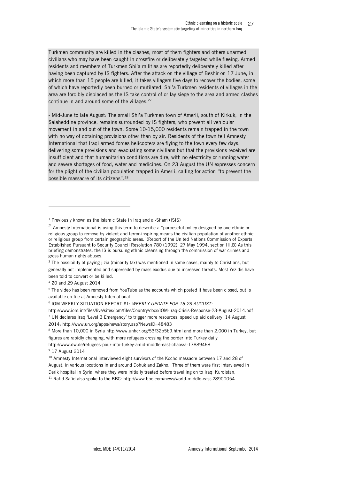Turkmen community are killed in the clashes, most of them fighters and others unarmed civilians who may have been caught in crossfire or deliberately targeted while fleeing. Armed residents and members of Turkmen Shi'a militias are reportedly deliberately killed after having been captured by IS fighters. After the attack on the village of Beshir on 17 June, in which more than 15 people are killed, it takes villagers five days to recover the bodies, some of which have reportedly been burned or mutilated. Shi'a Turkmen residents of villages in the area are forcibly displaced as the IS take control of or lay siege to the area and armed clashes continue in and around some of the villages.<sup>27</sup>

- Mid-June to late August: The small Shi'a Turkmen town of Amerli, south of Kirkuk, in the Salaheddine province, remains surrounded by IS fighters, who prevent all vehicular movement in and out of the town. Some 10-15,000 residents remain trapped in the town with no way of obtaining provisions other than by air. Residents of the town tell Amnesty International that Iraqi armed forces helicopters are flying to the town every few days, delivering some provisions and evacuating some civilians but that the provisions received are insufficient and that humanitarian conditions are dire, with no electricity or running water and severe shortages of food, water and medicines. On 23 August the UN expresses concern for the plight of the civilian population trapped in Amerli, calling for action "to prevent the possible massacre of its citizens".<sup>28</sup>

<sup>4</sup> 20 and 29 August 2014

-

<sup>5</sup> The video has been removed from YouTube as the accounts which posted it have been closed, but is available on file at Amnesty International

<sup>8</sup> More than 10,000 in Syri[a http://www.unhcr.org/53f32b5b9.html](http://www.unhcr.org/53f32b5b9.html) and more than 2,000 in Turkey, but figures are rapidly changing, with more refugees crossing the border into Turkey daily http://www.dw.de/refugees-pour-into-turkey-amid-middle-east-chaos/a-17889468

<sup>9</sup> 17 August 2014

 $11$  Rafid Sa'id also spoke to the BBC: <http://www.bbc.com/news/world-middle-east-28900054>

<sup>&</sup>lt;sup>1</sup> Previously known as the Islamic State in Iraq and al-Sham (ISIS)

<sup>&</sup>lt;sup>2</sup> Amnesty International is using this term to describe a "purposeful policy designed by one ethnic or religious group to remove by violent and terror-inspiring means the civilian population of another ethnic or religious group from certain geographic areas."(Report of the United Nations Commission of Experts Established Pursuant to Security Council Resolution 780 (1992), 27 May 1994, section III.B) As this briefing demonstrates, the IS is pursuing ethnic cleansing through the commission of war crimes and gross human rights abuses.

<sup>&</sup>lt;sup>3</sup> The possibility of paying jizia (minority tax) was mentioned in some cases, mainly to Christians, but generally not implemented and superseded by mass exodus due to increased threats. Most Yezidis have been told to convert or be killed.

<sup>6</sup> IOM WEEKLY SITUATION REPORT #1: *WEEKLY UPDATE FOR 16-23 AUGUST:* 

<http://www.iom.int/files/live/sites/iom/files/Country/docs/IOM-Iraq-Crisis-Response-23-August-2014.pdf>  $7$  UN declares Iraq 'Level 3 Emergency' to trigger more resources, speed up aid delivery, 14 August 2014[: http://www.un.org/apps/news/story.asp?NewsID=48483](http://www.un.org/apps/news/story.asp?NewsID=48483)

<sup>&</sup>lt;sup>10</sup> Amnesty International interviewed eight survivors of the Kocho massacre between 17 and 28 of August, in various locations in and around Dohuk and Zakho. Three of them were first interviewed in Derik hospital in Syria, where they were initially treated before travelling on to Iraqi Kurdistan,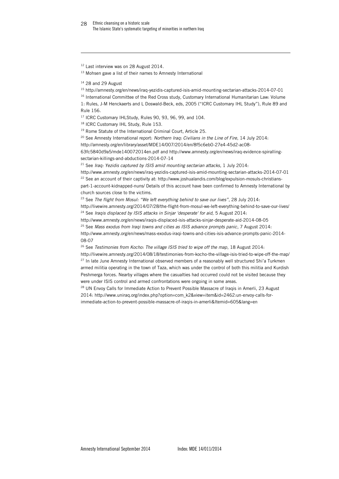<sup>13</sup> Mohsen gave a list of their names to Amnesty International

l

<sup>15</sup> http://amnesty.org/en/news/iraq-yezidis-captured-isis-amid-mounting-sectarian-attacks-2014-07-01

<sup>17</sup> ICRC Customary IHLStudy, Rules 90, 93, 96, 99, and 104.

18 ICRC Customary IHL Study, Rule 153.

<sup>19</sup> Rome Statute of the International Criminal Court, Article 25.

<sup>20</sup> See Amnesty International report: *Northern Iraq: Civilians in the Line of Fire*, 14 July 2014:

[http://amnesty.org/en/library/asset/MDE14/007/2014/en/8f5c6eb0-27e4-45d2-ac08-](http://amnesty.org/en/library/asset/MDE14/007/2014/en/8f5c6eb0-27e4-45d2-ac08-63fc5840d9a5/mde140072014en.pdf)

[63fc5840d9a5/mde140072014en.pdf](http://amnesty.org/en/library/asset/MDE14/007/2014/en/8f5c6eb0-27e4-45d2-ac08-63fc5840d9a5/mde140072014en.pdf) an[d http://www.amnesty.org/en/news/iraq-evidence-spiralling](http://www.amnesty.org/en/news/iraq-evidence-spiralling-sectarian-killings-and-abductions-2014-07-14)[sectarian-killings-and-abductions-2014-07-14](http://www.amnesty.org/en/news/iraq-evidence-spiralling-sectarian-killings-and-abductions-2014-07-14)

<sup>21</sup> See *Iraq: Yezidis captured by ISIS amid mounting sectarian attacks*, 1 July 2014:

<http://www.amnesty.org/en/news/iraq-yezidis-captured-isis-amid-mounting-sectarian-attacks-2014-07-01> <sup>22</sup> See an account of their captivity at: [http://www.joshualandis.com/blog/expulsion-mosuls-christians](http://www.joshualandis.com/blog/expulsion-mosuls-christians-part-1-account-kidnapped-nuns/)[part-1-account-kidnapped-nuns/](http://www.joshualandis.com/blog/expulsion-mosuls-christians-part-1-account-kidnapped-nuns/) Details of this account have been confirmed to Amnesty International by church sources close to the victims.

<sup>23</sup> See *[The flight from Mosul: "We left everything behind to save our lives"](http://livewire.amnesty.org/2014/07/28/the-flight-from-mosul-we-left-everything-behind-to-save-our-lives/)*, 28 July 2014: <http://livewire.amnesty.org/2014/07/28/the-flight-from-mosul-we-left-everything-behind-to-save-our-lives/> <sup>24</sup> See *Iraqis displaced by ISIS attacks in Sinjar 'desperate' for aid,* 5 August 2014:

<http://www.amnesty.org/en/news/iraqis-displaced-isis-attacks-sinjar-desperate-aid-2014-08-05> <sup>25</sup> See *Mass exodus from Iraqi towns and cities as ISIS advance prompts panic*, 7 August 2014: [http://www.amnesty.org/en/news/mass-exodus-iraqi-towns-and-cities-isis-advance-prompts-panic-2014-](http://www.amnesty.org/en/news/mass-exodus-iraqi-towns-and-cities-isis-advance-prompts-panic-2014-08-07) [08-07](http://www.amnesty.org/en/news/mass-exodus-iraqi-towns-and-cities-isis-advance-prompts-panic-2014-08-07)

<sup>26</sup> See *[Testimonies from Kocho: The village ISIS tried to wipe off the map](http://livewire.amnesty.org/2014/08/18/testimonies-from-kocho-the-village-isis-tried-to-wipe-off-the-map/)*, 18 August 2014: <http://livewire.amnesty.org/2014/08/18/testimonies-from-kocho-the-village-isis-tried-to-wipe-off-the-map/> <sup>27</sup> In late June Amnesty International observed members of a reasonably well structured Shi'a Turkmen armed militia operating in the town of Taza, which was under the control of both this militia and Kurdish Peshmerga forces. Nearby villages where the casualties had occurred could not be visited because they were under ISIS control and armed confrontations were ongoing in some areas.

<sup>28</sup> UN Envoy Calls for Immediate Action to Prevent Possible Massacre of Iraqis in Amerli, 23 August 2014: [http://www.uniraq.org/index.php?option=com\\_k2&view=item&id=2462:un-envoy-calls-for](http://www.uniraq.org/index.php?option=com_k2&view=item&id=2462:un-envoy-calls-for-immediate-action-to-prevent-possible-massacre-of-iraqis-in-amerli&Itemid=605&lang=en)[immediate-action-to-prevent-possible-massacre-of-iraqis-in-amerli&Itemid=605&lang=en](http://www.uniraq.org/index.php?option=com_k2&view=item&id=2462:un-envoy-calls-for-immediate-action-to-prevent-possible-massacre-of-iraqis-in-amerli&Itemid=605&lang=en)

<sup>&</sup>lt;sup>12</sup> Last interview was on 28 August 2014.

 $14$  28 and 29 August

<sup>&</sup>lt;sup>16</sup> International Committee of the Red Cross study, Customary International Humanitarian Law: Volume 1: Rules, J-M Henckaerts and L Doswald-Beck, eds, 2005 ("ICRC Customary IHL Study"), Rule 89 and Rule 156.